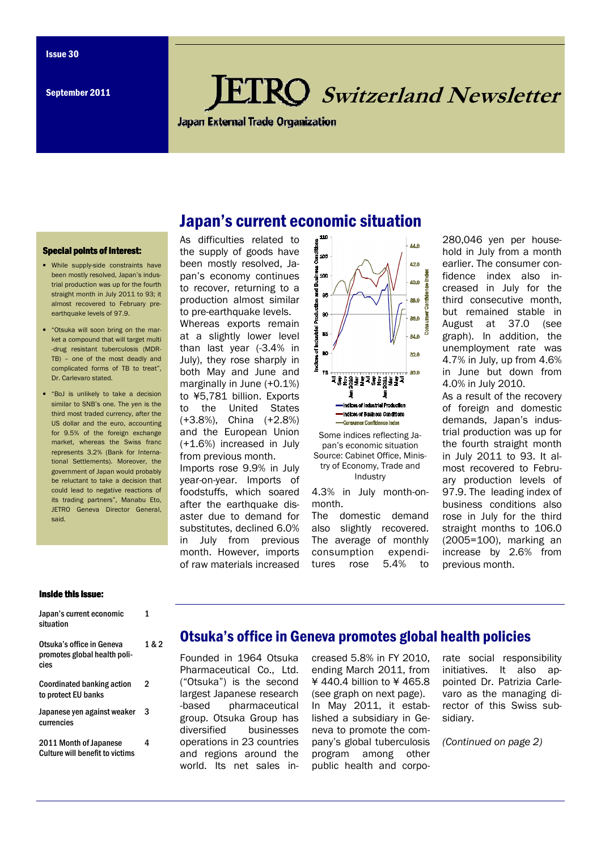# **KO** Switzerland Newsletter

**Japan External Trade Organization** 

Japan's current economic situation

#### Special points of interest:

- While supply-side constraints have been mostly resolved, Japan's industrial production was up for the fourth straight month in July 2011 to 93; it almost recovered to February preearthquake levels of 97.9.
- "Otsuka will soon bring on the market a compound that will target multi -drug resistant tuberculosis (MDR-TB) – one of the most deadly and complicated forms of TB to treat", Dr. Carlevaro stated.
- "BoJ is unlikely to take a decision similar to SNB's one. The yen is the third most traded currency, after the US dollar and the euro, accounting for 9.5% of the foreign exchange market, whereas the Swiss franc represents 3.2% (Bank for International Settlements). Moreover, the government of Japan would probably be reluctant to take a decision that could lead to negative reactions of its trading partners", Manabu Eto, JETRO Geneva Director General, said.

As difficulties related to the supply of goods have been mostly resolved, Japan's economy continues to recover, returning to a production almost similar to pre-earthquake levels.

Whereas exports remain at a slightly lower level than last year (-3.4% in July), they rose sharply in both May and June and marginally in June (+0.1%) to ¥5,781 billion. Exports to the United States (+3.8%), China (+2.8%) and the European Union (+1.6%) increased in July from previous month.

Imports rose 9.9% in July year-on-year. Imports of foodstuffs, which soared after the earthquake disaster due to demand for substitutes, declined 6.0% in July from previous month. However, imports of raw materials increased



Some indices reflecting Japan's economic situation Source: Cabinet Office, Ministry of Economy, Trade and Industry

4.3% in July month-onmonth.

The domestic demand also slightly recovered. The average of monthly consumption expenditures rose 5.4% to

280,046 yen per household in July from a month earlier. The consumer confidence index also increased in July for the third consecutive month, but remained stable in August at 37.0 (see graph). In addition, the unemployment rate was 4.7% in July, up from 4.6% in June but down from 4.0% in July 2010.

As a result of the recovery of foreign and domestic demands, Japan's industrial production was up for the fourth straight month in July 2011 to 93. It almost recovered to February production levels of 97.9. The leading index of business conditions also rose in July for the third straight months to 106.0 (2005=100), marking an increase by 2.6% from previous month.

#### Inside this issue:

| Japan's current economic<br>situation                             | 1     |
|-------------------------------------------------------------------|-------|
| Otsuka's office in Geneva<br>promotes global health poli-<br>cies | 1 & 2 |
| <b>Coordinated banking action</b><br>to protect EU banks          | 2     |
| Japanese yen against weaker<br>currencies                         | 3     |
| 2011 Month of Japanese<br><b>Culture will benefit to victims</b>  | 4     |

### Otsuka's office in Geneva promotes global health policies

Founded in 1964 Otsuka Pharmaceutical Co., Ltd. ("Otsuka") is the second largest Japanese research -based pharmaceutical group. Otsuka Group has diversified businesses operations in 23 countries and regions around the world. Its net sales increased 5.8% in FY 2010, ending March 2011, from ¥ 440.4 billion to ¥ 465.8 (see graph on next page). In May 2011, it established a subsidiary in Geneva to promote the company's global tuberculosis program among other public health and corporate social responsibility initiatives. It also appointed Dr. Patrizia Carlevaro as the managing director of this Swiss subsidiary.

(Continued on page 2)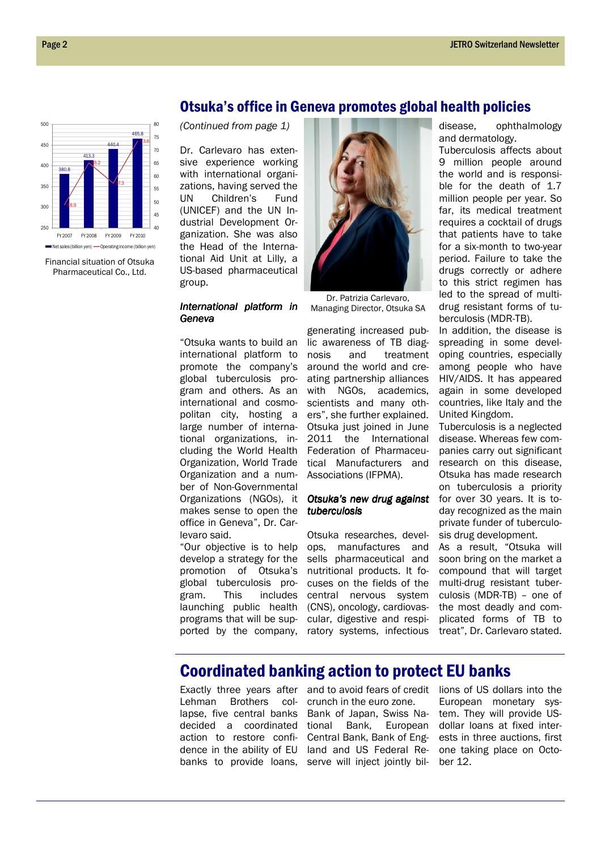

Financial situation of Otsuka Pharmaceutical Co., Ltd.

### Otsuka's office in Geneva promotes global health policies

(Continued from page 1)

Dr. Carlevaro has extensive experience working with international organizations, having served the UN Children's Fund (UNICEF) and the UN Industrial Development Organization. She was also the Head of the International Aid Unit at Lilly, a US-based pharmaceutical group.

### International platform in Geneva

"Otsuka wants to build an international platform to promote the company's global tuberculosis program and others. As an international and cosmopolitan city, hosting a large number of international organizations, including the World Health Organization, World Trade Organization and a number of Non-Governmental Organizations (NGOs), it makes sense to open the office in Geneva", Dr. Carlevaro said.

"Our objective is to help develop a strategy for the promotion of Otsuka's global tuberculosis program. This includes launching public health programs that will be supported by the company,



Dr. Patrizia Carlevaro, Managing Director, Otsuka SA

generating increased public awareness of TB diagnosis and treatment around the world and creating partnership alliances with NGOs, academics, scientists and many others", she further explained. Otsuka just joined in June 2011 the International Federation of Pharmaceutical Manufacturers and Associations (IFPMA).

### Otsuka's new drug against tuberculosis

Otsuka researches, develops, manufactures and sells pharmaceutical and nutritional products. It focuses on the fields of the central nervous system (CNS), oncology, cardiovascular, digestive and respiratory systems, infectious

disease, ophthalmology and dermatology.

Tuberculosis affects about 9 million people around the world and is responsible for the death of 1.7 million people per year. So far, its medical treatment requires a cocktail of drugs that patients have to take for a six-month to two-year period. Failure to take the drugs correctly or adhere to this strict regimen has led to the spread of multidrug resistant forms of tuberculosis (MDR-TB).

In addition, the disease is spreading in some developing countries, especially among people who have HIV/AIDS. It has appeared again in some developed countries, like Italy and the United Kingdom.

Tuberculosis is a neglected disease. Whereas few companies carry out significant research on this disease, Otsuka has made research on tuberculosis a priority for over 30 years. It is today recognized as the main private funder of tuberculosis drug development.

As a result, "Otsuka will soon bring on the market a compound that will target multi-drug resistant tuberculosis (MDR-TB) – one of the most deadly and complicated forms of TB to treat", Dr. Carlevaro stated.

### Coordinated banking action to protect EU banks

Lehman Brothers collapse, five central banks decided a coordinated action to restore confi-

Exactly three years after and to avoid fears of credit lions of US dollars into the dence in the ability of EU land and US Federal Rebanks to provide loans, serve will inject jointly bil- ber 12. crunch in the euro zone. Bank of Japan, Swiss National Bank, European Central Bank, Bank of Eng-

European monetary system. They will provide USdollar loans at fixed interests in three auctions, first one taking place on Octo-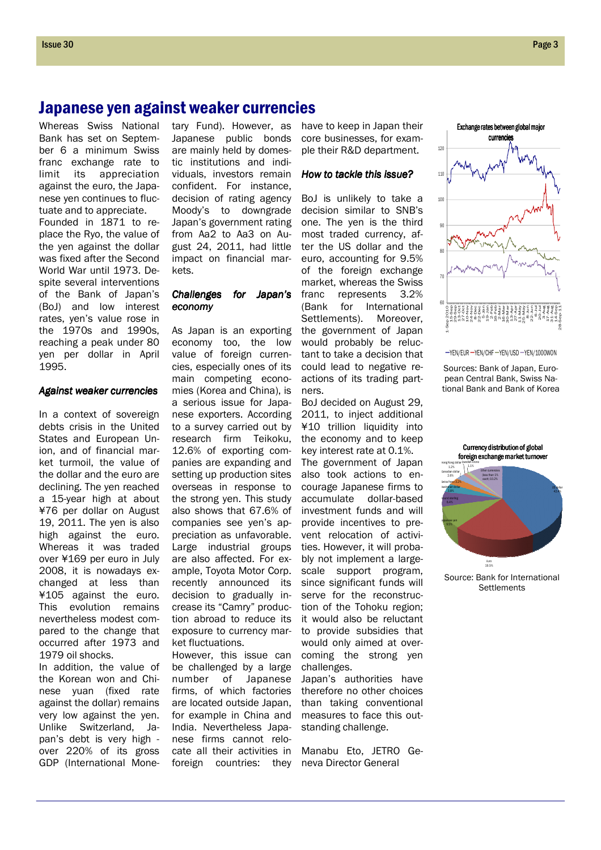## Japanese yen against weaker currencies

Whereas Swiss National Bank has set on September 6 a minimum Swiss franc exchange rate to limit its appreciation against the euro, the Japanese yen continues to fluctuate and to appreciate. Founded in 1871 to replace the Ryo, the value of the yen against the dollar was fixed after the Second World War until 1973. Despite several interventions of the Bank of Japan's (BoJ) and low interest rates, yen's value rose in the 1970s and 1990s, reaching a peak under 80 yen per dollar in April 1995.

### Against weaker currencies

In a context of sovereign debts crisis in the United States and European Union, and of financial market turmoil, the value of the dollar and the euro are declining. The yen reached a 15-year high at about ¥76 per dollar on August 19, 2011. The yen is also high against the euro. Whereas it was traded over ¥169 per euro in July 2008, it is nowadays exchanged at less than ¥105 against the euro. This evolution remains nevertheless modest compared to the change that occurred after 1973 and 1979 oil shocks.

In addition, the value of the Korean won and Chinese yuan (fixed rate against the dollar) remains very low against the yen. Unlike Switzerland, Japan's debt is very high over 220% of its gross GDP (International Mone-

tary Fund). However, as Japanese public bonds are mainly held by domestic institutions and individuals, investors remain confident. For instance, decision of rating agency Moody's to downgrade Japan's government rating from Aa2 to Aa3 on August 24, 2011, had little impact on financial markets.

### Challenges for Japan's economy economy

As Japan is an exporting economy too, the low value of foreign currencies, especially ones of its main competing economies (Korea and China), is a serious issue for Japanese exporters. According to a survey carried out by research firm Teikoku, 12.6% of exporting companies are expanding and setting up production sites overseas in response to the strong yen. This study also shows that 67.6% of companies see yen's appreciation as unfavorable. Large industrial groups are also affected. For example, Toyota Motor Corp. recently announced its decision to gradually increase its "Camry" production abroad to reduce its exposure to currency market fluctuations.

However, this issue can be challenged by a large number of Japanese firms, of which factories are located outside Japan, for example in China and India. Nevertheless Japanese firms cannot relocate all their activities in foreign countries: they have to keep in Japan their core businesses, for example their R&D department.

#### How to tackle this issue?

BoJ is unlikely to take a decision similar to SNB's one. The yen is the third most traded currency, after the US dollar and the euro, accounting for 9.5% of the foreign exchange market, whereas the Swiss franc represents 3.2% (Bank for International Settlements). Moreover, the government of Japan would probably be reluctant to take a decision that could lead to negative reactions of its trading partners.

BoJ decided on August 29, 2011, to inject additional ¥10 trillion liquidity into the economy and to keep key interest rate at 0.1%. The government of Japan also took actions to encourage Japanese firms to accumulate dollar-based investment funds and will provide incentives to prevent relocation of activities. However, it will probably not implement a largescale support program, since significant funds will serve for the reconstruction of the Tohoku region; it would also be reluctant to provide subsidies that would only aimed at overcoming the strong yen challenges.

Japan's authorities have therefore no other choices than taking conventional measures to face this outstanding challenge.

Manabu Eto, JETRO Geneva Director General



-YEN/EUR - YEN/CHF - YEN/USD - YEN/1000WON

Sources: Bank of Japan, European Central Bank, Swiss National Bank and Bank of Korea



Source: Bank for International **Settlements**